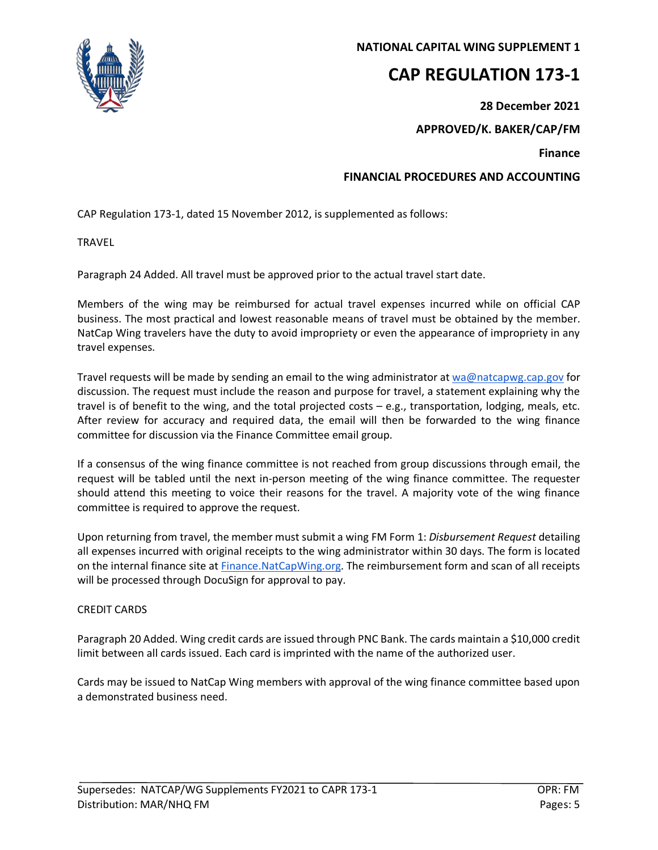

# **NATIONAL CAPITAL WING SUPPLEMENT 1**

# **CAP REGULATION 173-1**

**28 December 2021**

**APPROVED/K. BAKER/CAP/FM**

 **Finance**

# **FINANCIAL PROCEDURES AND ACCOUNTING**

CAP Regulation 173-1, dated 15 November 2012, is supplemented as follows:

TRAVEL

Paragraph 24 Added. All travel must be approved prior to the actual travel start date.

Members of the wing may be reimbursed for actual travel expenses incurred while on official CAP business. The most practical and lowest reasonable means of travel must be obtained by the member. NatCap Wing travelers have the duty to avoid impropriety or even the appearance of impropriety in any travel expenses.

Travel requests will be made by sending an email to the wing administrator at [wa@natcapwg.cap.gov](mailto:wa@natcapwg.cap.gov) for discussion. The request must include the reason and purpose for travel, a statement explaining why the travel is of benefit to the wing, and the total projected costs – e.g., transportation, lodging, meals, etc. After review for accuracy and required data, the email will then be forwarded to the wing finance committee for discussion via the Finance Committee email group.

If a consensus of the wing finance committee is not reached from group discussions through email, the request will be tabled until the next in-person meeting of the wing finance committee. The requester should attend this meeting to voice their reasons for the travel. A majority vote of the wing finance committee is required to approve the request.

Upon returning from travel, the member must submit a wing FM Form 1: *Disbursement Request* detailing all expenses incurred with original receipts to the wing administrator within 30 days. The form is located on the internal finance site at [Finance.NatCapWing.org.](https://sites.google.com/natcapwg.cap.gov/dc001/finance) The reimbursement form and scan of all receipts will be processed through DocuSign for approval to pay.

# CREDIT CARDS

Paragraph 20 Added. Wing credit cards are issued through PNC Bank. The cards maintain a \$10,000 credit limit between all cards issued. Each card is imprinted with the name of the authorized user.

Cards may be issued to NatCap Wing members with approval of the wing finance committee based upon a demonstrated business need.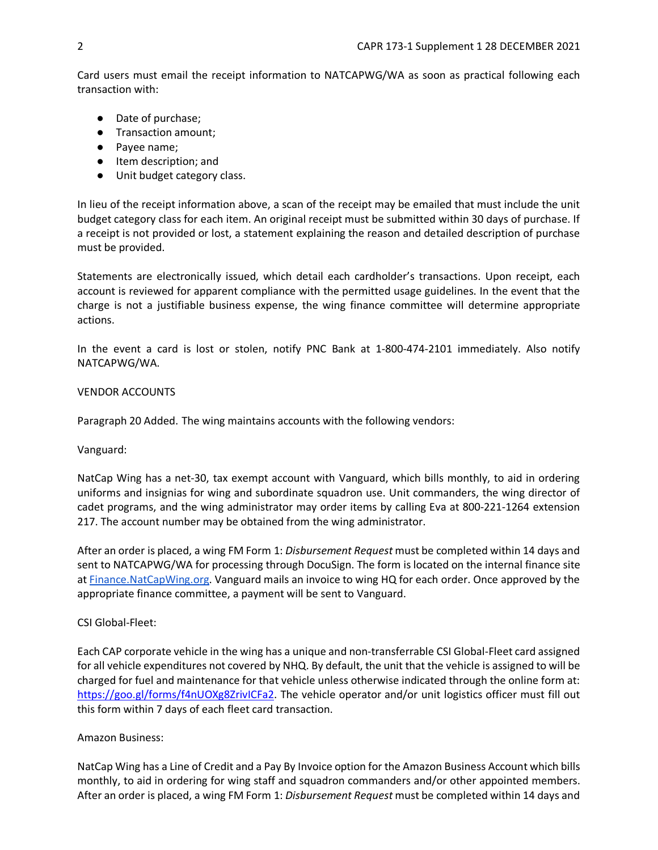Card users must email the receipt information to NATCAPWG/WA as soon as practical following each transaction with:

- Date of purchase;
- Transaction amount;
- Payee name;
- Item description; and
- Unit budget category class.

In lieu of the receipt information above, a scan of the receipt may be emailed that must include the unit budget category class for each item. An original receipt must be submitted within 30 days of purchase. If a receipt is not provided or lost, a statement explaining the reason and detailed description of purchase must be provided.

Statements are electronically issued, which detail each cardholder's transactions. Upon receipt, each account is reviewed for apparent compliance with the permitted usage guidelines. In the event that the charge is not a justifiable business expense, the wing finance committee will determine appropriate actions.

In the event a card is lost or stolen, notify PNC Bank at 1-800-474-2101 immediately. Also notify NATCAPWG/WA.

### VENDOR ACCOUNTS

Paragraph 20 Added. The wing maintains accounts with the following vendors:

Vanguard:

NatCap Wing has a net-30, tax exempt account with Vanguard, which bills monthly, to aid in ordering uniforms and insignias for wing and subordinate squadron use. Unit commanders, the wing director of cadet programs, and the wing administrator may order items by calling Eva at 800-221-1264 extension 217. The account number may be obtained from the wing administrator.

After an order is placed, a wing FM Form 1: *Disbursement Request* must be completed within 14 days and sent to NATCAPWG/WA for processing through DocuSign. The form is located on the internal finance site at [Finance.NatCapWing.org.](https://sites.google.com/natcapwg.cap.gov/dc001/finance) Vanguard mails an invoice to wing HQ for each order. Once approved by the appropriate finance committee, a payment will be sent to Vanguard.

## CSI Global-Fleet:

Each CAP corporate vehicle in the wing has a unique and non-transferrable CSI Global-Fleet card assigned for all vehicle expenditures not covered by NHQ. By default, the unit that the vehicle is assigned to will be charged for fuel and maintenance for that vehicle unless otherwise indicated through the online form at: [https://goo.gl/forms/f4nUOXg8ZrivICFa2.](https://goo.gl/forms/f4nUOXg8ZrivICFa2) The vehicle operator and/or unit logistics officer must fill out this form within 7 days of each fleet card transaction.

## Amazon Business:

NatCap Wing has a Line of Credit and a Pay By Invoice option for the Amazon Business Account which bills monthly, to aid in ordering for wing staff and squadron commanders and/or other appointed members. After an order is placed, a wing FM Form 1: *Disbursement Request* must be completed within 14 days and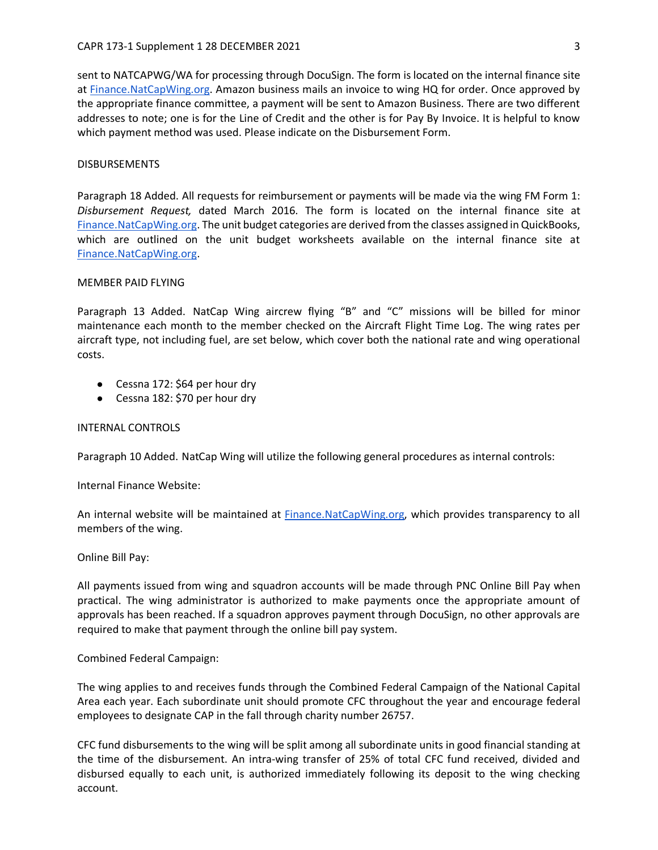#### CAPR 173-1 Supplement 1 28 DECEMBER 2021 3

sent to NATCAPWG/WA for processing through DocuSign. The form is located on the internal finance site at [Finance.NatCapWing.org.](https://sites.google.com/natcapwg.cap.gov/dc001/finance) Amazon business mails an invoice to wing HQ for order. Once approved by the appropriate finance committee, a payment will be sent to Amazon Business. There are two different addresses to note; one is for the Line of Credit and the other is for Pay By Invoice. It is helpful to know which payment method was used. Please indicate on the Disbursement Form.

#### DISBURSEMENTS

Paragraph 18 Added. All requests for reimbursement or payments will be made via the wing FM Form 1: *Disbursement Request,* dated March 2016. The form is located on the internal finance site at [Finance.NatCapWing.org.](https://sites.google.com/natcapwg.cap.gov/dc001/finance) The unit budget categories are derived from the classes assigned in QuickBooks, which are outlined on the unit budget worksheets available on the internal finance site at [Finance.NatCapWing.org.](https://sites.google.com/natcapwg.cap.gov/dc001/finance)

#### MEMBER PAID FLYING

Paragraph 13 Added. NatCap Wing aircrew flying "B" and "C" missions will be billed for minor maintenance each month to the member checked on the Aircraft Flight Time Log. The wing rates per aircraft type, not including fuel, are set below, which cover both the national rate and wing operational costs.

- Cessna 172: \$64 per hour dry
- Cessna 182: \$70 per hour dry

#### INTERNAL CONTROLS

Paragraph 10 Added. NatCap Wing will utilize the following general procedures as internal controls:

Internal Finance Website:

An internal website will be maintained at [Finance.NatCapWing.org,](https://sites.google.com/natcapwg.cap.gov/dc001/finance) which provides transparency to all members of the wing.

Online Bill Pay:

All payments issued from wing and squadron accounts will be made through PNC Online Bill Pay when practical. The wing administrator is authorized to make payments once the appropriate amount of approvals has been reached. If a squadron approves payment through DocuSign, no other approvals are required to make that payment through the online bill pay system.

#### Combined Federal Campaign:

The wing applies to and receives funds through the Combined Federal Campaign of the National Capital Area each year. Each subordinate unit should promote CFC throughout the year and encourage federal employees to designate CAP in the fall through charity number 26757.

CFC fund disbursements to the wing will be split among all subordinate units in good financial standing at the time of the disbursement. An intra-wing transfer of 25% of total CFC fund received, divided and disbursed equally to each unit, is authorized immediately following its deposit to the wing checking account.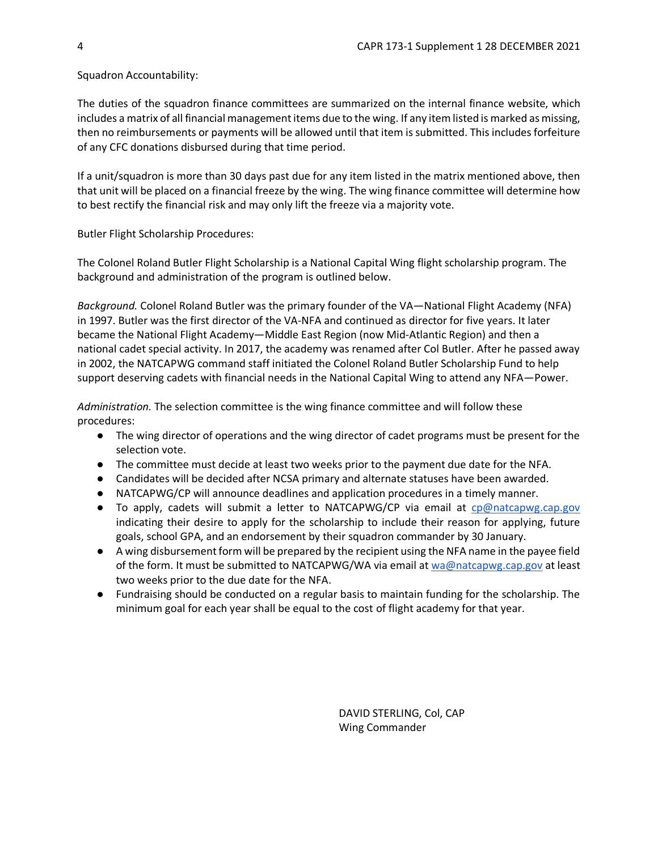## Squadron Accountability:

The duties of the squadron finance committees are summarized on the internal finance website, which includes a matrix of all financial management items due to the wing. If any item listed is marked as missing, then no reimbursements or payments will be allowed until that item is submitted. This includes forfeiture of any CFC donations disbursed during that time period.

If a unit/squadron is more than 30 days past due for any item listed in the matrix mentioned above, then that unit will be placed on a financial freeze by the wing. The wing finance committee will determine how to best rectify the financial risk and may only lift the freeze via a majority vote.

Butler Flight Scholarship Procedures:

The Colonel Roland Butler Flight Scholarship is a National Capital Wing flight scholarship program. The background and administration of the program is outlined below.

*Background.* Colonel Roland Butler was the primary founder of the VA—National Flight Academy (NFA) in 1997. Butler was the first director of the VA-NFA and continued as director for five years. It later became the National Flight Academy—Middle East Region (now Mid-Atlantic Region) and then a national cadet special activity. In 2017, the academy was renamed after Col Butler. After he passed away in 2002, the NATCAPWG command staff initiated the Colonel Roland Butler Scholarship Fund to help support deserving cadets with financial needs in the National Capital Wing to attend any NFA—Power.

*Administration.* The selection committee is the wing finance committee and will follow these procedures:

- The wing director of operations and the wing director of cadet programs must be present for the selection vote.
- The committee must decide at least two weeks prior to the payment due date for the NFA.
- Candidates will be decided after NCSA primary and alternate statuses have been awarded.
- NATCAPWG/CP will announce deadlines and application procedures in a timely manner.
- To apply, cadets will submit a letter to NATCAPWG/CP via email at [cp@natcapwg.cap.gov](mailto:cp@natcapwg.cap.gov) indicating their desire to apply for the scholarship to include their reason for applying, future goals, school GPA, and an endorsement by their squadron commander by 30 January.
- A wing disbursement form will be prepared by the recipient using the NFA name in the payee field of the form. It must be submitted to NATCAPWG/WA via email a[t wa@natcapwg.cap.gov](mailto:wa@natcapwg.cap.gov) at least two weeks prior to the due date for the NFA.
- Fundraising should be conducted on a regular basis to maintain funding for the scholarship. The minimum goal for each year shall be equal to the cost of flight academy for that year.